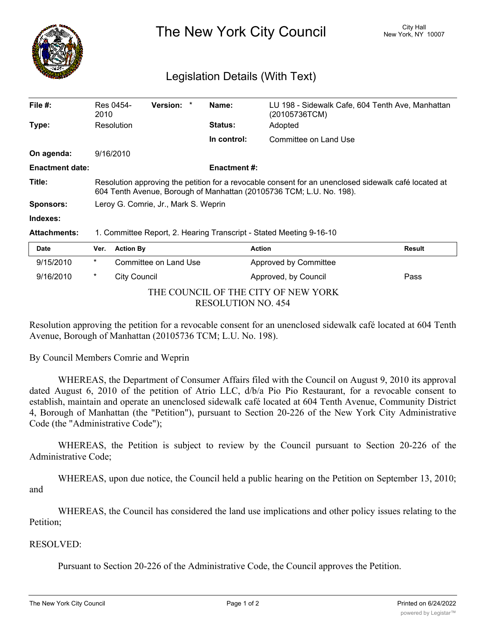

The New York City Council New York, NY 10007

## Legislation Details (With Text)

| File $#$ :             | Res 0454-<br>2010                                                                                                                                                            |                  | <b>Version:</b>       |  | Name:               | (20105736TCM)         | LU 198 - Sidewalk Cafe, 604 Tenth Ave, Manhattan |
|------------------------|------------------------------------------------------------------------------------------------------------------------------------------------------------------------------|------------------|-----------------------|--|---------------------|-----------------------|--------------------------------------------------|
| Type:                  | Resolution                                                                                                                                                                   |                  |                       |  | <b>Status:</b>      | Adopted               |                                                  |
|                        |                                                                                                                                                                              |                  |                       |  | In control:         | Committee on Land Use |                                                  |
| On agenda:             | 9/16/2010                                                                                                                                                                    |                  |                       |  |                     |                       |                                                  |
| <b>Enactment date:</b> |                                                                                                                                                                              |                  |                       |  | <b>Enactment #:</b> |                       |                                                  |
| Title:                 | Resolution approving the petition for a revocable consent for an unenclosed sidewalk café located at<br>604 Tenth Avenue, Borough of Manhattan (20105736 TCM; L.U. No. 198). |                  |                       |  |                     |                       |                                                  |
| <b>Sponsors:</b>       | Leroy G. Comrie, Jr., Mark S. Weprin                                                                                                                                         |                  |                       |  |                     |                       |                                                  |
| Indexes:               |                                                                                                                                                                              |                  |                       |  |                     |                       |                                                  |
| <b>Attachments:</b>    | 1. Committee Report, 2. Hearing Transcript - Stated Meeting 9-16-10                                                                                                          |                  |                       |  |                     |                       |                                                  |
| <b>Date</b>            | Ver.                                                                                                                                                                         | <b>Action By</b> |                       |  |                     | <b>Action</b>         | Result                                           |
| 9/15/2010              | $\ast$                                                                                                                                                                       |                  | Committee on Land Use |  |                     | Approved by Committee |                                                  |

| THE COUNCIL OF THE CITY OF NEW YORK |
|-------------------------------------|
| RESOLUTION NO. 454                  |

9/16/2010 \* City Council **Approved, by Council Pass** 

Resolution approving the petition for a revocable consent for an unenclosed sidewalk café located at 604 Tenth Avenue, Borough of Manhattan (20105736 TCM; L.U. No. 198).

By Council Members Comrie and Weprin

WHEREAS, the Department of Consumer Affairs filed with the Council on August 9, 2010 its approval dated August 6, 2010 of the petition of Atrio LLC, d/b/a Pio Pio Restaurant, for a revocable consent to establish, maintain and operate an unenclosed sidewalk café located at 604 Tenth Avenue, Community District 4, Borough of Manhattan (the "Petition"), pursuant to Section 20-226 of the New York City Administrative Code (the "Administrative Code");

WHEREAS, the Petition is subject to review by the Council pursuant to Section 20-226 of the Administrative Code;

WHEREAS, upon due notice, the Council held a public hearing on the Petition on September 13, 2010; and

WHEREAS, the Council has considered the land use implications and other policy issues relating to the Petition;

## RESOLVED:

Pursuant to Section 20-226 of the Administrative Code, the Council approves the Petition.